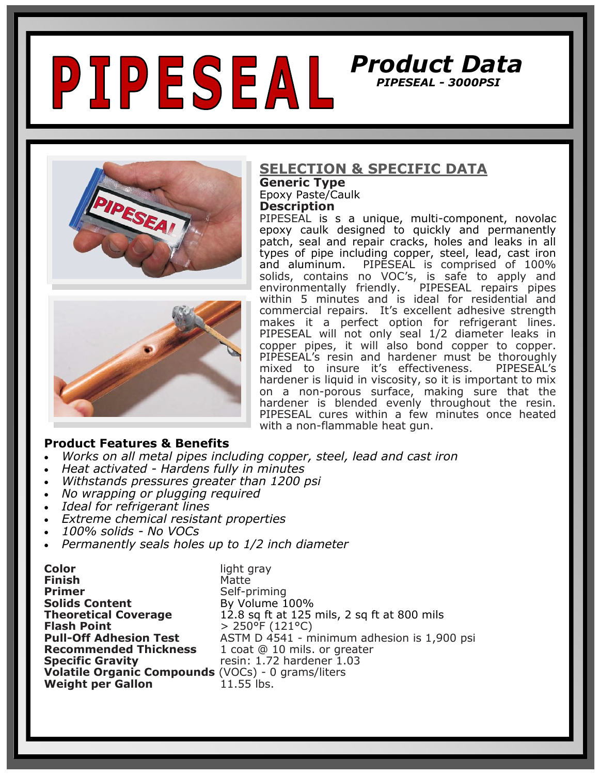



#### **Product Features & Benefits**

- *Works on all metal pipes including copper, steel, lead and cast iron*
- *Heat activated - Hardens fully in minutes*
- *Withstands pressures greater than 1200 psi*
- *No wrapping or plugging required*
- *Ideal for refrigerant lines*
- *Extreme chemical resistant properties*
- *100% solids - No VOCs*
- *Permanently seals holes up to 1/2 inch diameter*

| <b>Color</b>                                              | light gray                                  |
|-----------------------------------------------------------|---------------------------------------------|
| <b>Finish</b>                                             | Matte                                       |
| <b>Primer</b>                                             | Self-priming                                |
| <b>Solids Content</b>                                     | By Volume 100%                              |
| <b>Theoretical Coverage</b>                               | 12.8 sq ft at 125 mils, 2 sq ft at 800 mils |
| <b>Flash Point</b>                                        | $> 250^{\circ}$ F (121°C)                   |
| <b>Pull-Off Adhesion Test</b>                             | ASTM D 4541 - minimum adhesion is 1,900 psi |
| <b>Recommended Thickness</b>                              | 1 coat @ 10 mils. or greater                |
| <b>Specific Gravity</b>                                   | resin: 1.72 hardener 1.03                   |
| <b>Volatile Organic Compounds (VOCs) - 0 grams/liters</b> |                                             |
| <b>Weight per Gallon</b>                                  | 11.55 lbs.                                  |

#### **SELECTION & SPECIFIC DATA Generic Type**

Epoxy Paste/Caulk

**Description**

PIPESEAL is s a unique, multi-component, novolac epoxy caulk designed to quickly and permanently patch, seal and repair cracks, holes and leaks in all types of pipe including copper, steel, lead, cast iron and aluminum. PIPESEAL is comprised of 100% solids, contains no VOC's, is safe to apply and<br>environmentally friendly. PIPESEAL repairs pipes PIPESEAL repairs pipes within 5 minutes and is ideal for residential and commercial repairs. It's excellent adhesive strength makes it a perfect option for refrigerant lines. PIPESEAL will not only seal 1/2 diameter leaks in copper pipes, it will also bond copper to copper. PIPESEAL's resin and hardener must be thoroughly<br>mixed to insure it's effectiveness. PIPESEAL's mixed to insure it's effectiveness. hardener is liquid in viscosity, so it is important to mix on a non-porous surface, making sure that the hardener is blended evenly throughout the resin. PIPESEAL cures within a few minutes once heated with a non-flammable heat gun.

*Product Data* 

 *PIPESEAL - 3000PSI*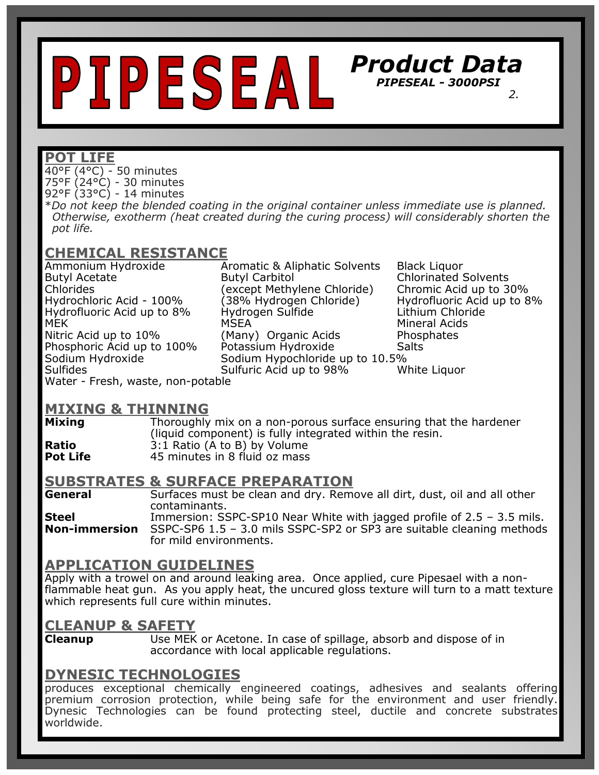# *Product Data PIPESEAL - 3000PSI*   $\overline{\phantom{a}}$  *2.*

#### **POT LIFE**

40°F (4°C) - 50 minutes 75°F (24°C) - 30 minutes 92°F (33°C) - 14 minutes

\**Do not keep the blended coating in the original container unless immediate use is planned. Otherwise, exotherm (heat created during the curing process) will considerably shorten the pot life.* 

## **CHEMICAL RESISTANCE**

Chlorides (except Methylene Chloride)

Ammonium Hydroxide Aromatic & Aliphatic Solvents Black Liquor Butyl Acetate Butyl Carbitol Chlorinated Solvents<br>Chlorides (except Methylene Chloride) Chromic Acid up to 30% Hydrochloric Acid - 100% (38% Hydrogen Chloride) Hydrofluoric Acid up to 8% Hydrofluoric Acid up to 8% Hydrogen Sulfide Lithium Chloride Nitric Acid up to 10% (Many) Organic Acids Phosphates Phosphoric Acid up to 100% Potassium Hydroxide Salts Sodium Hydroxide Sodium Hypochloride up to 10.5% Sulfides Sulfuric Acid up to 98% White Liquor

Mineral Acids

Water - Fresh, waste, non-potable

# **MIXING & THINNING**

**Mixing** Thoroughly mix on a non-porous surface ensuring that the hardener (liquid component) is fully integrated within the resin. **Ratio** 3:1 Ratio (A to B) by Volume<br>**Pot Life** 45 minutes in 8 fluid oz mass **Pot Life** 45 minutes in 8 fluid oz mass

#### **SUBSTRATES & SURFACE PREPARATION**

**General** Surfaces must be clean and dry. Remove all dirt, dust, oil and all other contaminants. **Steel** Immersion: SSPC-SP10 Near White with jagged profile of 2.5 – 3.5 mils. **Non-immersion** SSPC-SP6 1.5 – 3.0 mils SSPC-SP2 or SP3 are suitable cleaning methods for mild environments.

#### **APPLICATION GUIDELINES**

Apply with a trowel on and around leaking area. Once applied, cure Pipesael with a nonflammable heat gun. As you apply heat, the uncured gloss texture will turn to a matt texture which represents full cure within minutes.

#### **CLEANUP & SAFETY**

**Cleanup** Use MEK or Acetone. In case of spillage, absorb and dispose of in accordance with local applicable regulations.

#### **DYNESIC TECHNOLOGIES**

produces exceptional chemically engineered coatings, adhesives and sealants offering premium corrosion protection, while being safe for the environment and user friendly. Dynesic Technologies can be found protecting steel, ductile and concrete substrates worldwide.